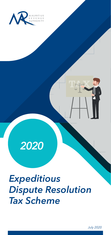

# *2020*

*Expeditious Dispute Resolution Tax Scheme*

*July 2020*

TARK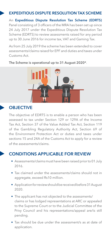#### EXPEDITIOUS DISPUTE RESOLUTION TAX SCHEME

An Expeditious Dispute Resolution Tax Scheme (EDRTS) Panel consisting of 3 officers of the MRA has been set up since 24 July 2017 under the Expeditious Dispute Resolution Tax Scheme (EDRTS) to review assessments raised for any period up to 30 June 2016 for income tax, VAT and Gaming Tax.

As from 25 July 2019 the scheme has been extended to cover assessments/claims raised for EPF and duties and taxes under Customs Act.



The Scheme is operational up to 31 August 2020\*.

## **OBJECTIVE**

The objective of EDRTS is to enable a person who has been assessed to tax under Section 129 or 129A of the Income Tax Act, Section 37 of the Value Added Tax Act, Section 119 of the Gambling Regulatory Authority Act, Section 69 of the Environment Protection Act or duties and taxes under sections 15 and 24A of the Customs Act to apply for a review of the assessments/claims.

#### CONDITIONS APPLICABLE FOR REVIEW

- Assessments/claims must have been raised prior to 01 July 2016.
- Tax claimed under the assessments/claims should not in aggregate, exceed Rs10 million.
- Application for review should be received before 31 August 2020.
- The applicant has not objected to the assessments/ claims or has lodged representations at ARC or appealed to the Supreme Court or to the Judicial Committee of the Privy Council and his representations/appeal are/is still pending.
- Tax should be due under the assessment/s as at date of application.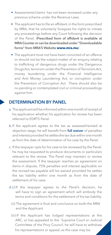- Assessments/claims has not been reviewed under any previous scheme under the Revenue Laws.
- The applicant has to file an affidavit, in the form prescribed by MRA, that he voluntarily foregoes his rights to initiate any proceedings before any Court following the decision of the Panel. (Prescribed form of affidavit is available at MRA Counter or can be downloaded under "Downloadable forms" from MRA'S Website **www.mra.mu**)
- The applicant must not have been convicted of an offence or should not be the subject matter of an enquiry relating to trafficking of dangerous drugs under the Dangerous Drugs Act, terrorism under the Prevention of Terrorism Act, money laundering under the Financial Intelligence and Anti Money Laundering Act, or corruption under the Prevention of Corruption Act. There should also be no pending or contemplated civil or criminal proceedings against him.

#### DETERMINATION BY PANEL

- a. The applicant will be informed within one month of receipt of his application whether his application for review has been referred to EDRTS Panel.
- b.If the applicant agrees to the tax as assessed/revised at objection stage, he will benefit from **full waiver** of penalties and interest provided he settles the tax due within one month as from the date of determination of his case by the Panel.
- c. If the taxpayer opts for his case to be reviewed by the Panel, he may be requested to produce documents or particulars relevant to the review. The Panel may maintain or review the assessment. If the taxpayer reaches an agreement on items in dispute, 75% penalties and interest applicable on the revised tax payable will be waived provided he settles the tax liability within one month as from the date of settlement of his case.
- d.(i) If the taxpayer agrees to the Panel's decision, he will have to sign an agreement which will embody the terms and conditions for the settlement of his tax liability.
	- (ii) The agreement is final and conclusive on both the MRA and the Applicant.
	- (iii) If the Applicant has lodged representations at the ARC, or has appealed to the Supreme Court or Judicial Committee of the Privy Council, he will have to withdraw his representations or appeal, as the case may be.